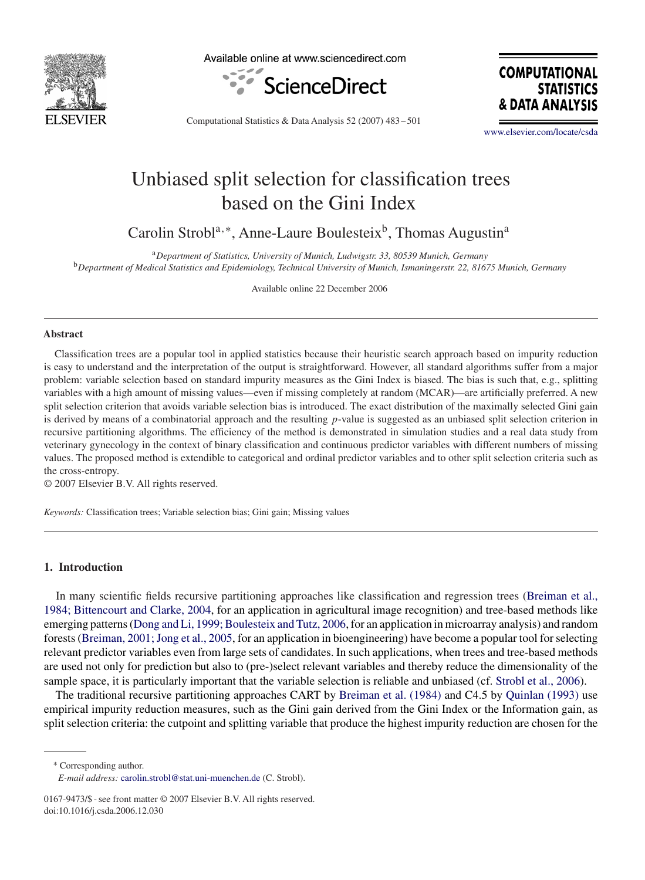

Available online at www.sciencedirect.com



**COMPUTATIONAL STATISTICS** & DATA ANALY

Computational Statistics & Data Analysis 52 (2007) 483 – 501

[www.elsevier.com/locate/csda](http://www.elsevier.com/locate/csda)

# Unbiased split selection for classification trees based on the Gini Index

Carolin Strobl<sup>a,∗</sup>, Anne-Laure Boulesteix<sup>b</sup>, Thomas Augustin<sup>a</sup>

<sup>a</sup>*Department of Statistics, University of Munich, Ludwigstr. 33, 80539 Munich, Germany* <sup>b</sup>*Department of Medical Statistics and Epidemiology, Technical University of Munich, Ismaningerstr. 22, 81675 Munich, Germany*

Available online 22 December 2006

## **Abstract**

Classification trees are a popular tool in applied statistics because their heuristic search approach based on impurity reduction is easy to understand and the interpretation of the output is straightforward. However, all standard algorithms suffer from a major problem: variable selection based on standard impurity measures as the Gini Index is biased. The bias is such that, e.g., splitting variables with a high amount of missing values—even if missing completely at random (MCAR)—are artificially preferred. A new split selection criterion that avoids variable selection bias is introduced. The exact distribution of the maximally selected Gini gain is derived by means of a combinatorial approach and the resulting  $p$ -value is suggested as an unbiased split selection criterion in recursive partitioning algorithms. The efficiency of the method is demonstrated in simulation studies and a real data study from veterinary gynecology in the context of binary classification and continuous predictor variables with different numbers of missing values. The proposed method is extendible to categorical and ordinal predictor variables and to other split selection criteria such as the cross-entropy.

© 2007 Elsevier B.V. All rights reserved.

*Keywords:* Classification trees; Variable selection bias; Gini gain; Missing values

# **1. Introduction**

In many scientific fields recursive partitioning approaches like classification and regression trees (Breiman et al., 1984; Bittencourt and Clarke, 2004, for an application in agricultural image recognition) and tree-based methods like emerging patterns (Dong and Li, 1999; Boulesteix and Tutz, 2006, for an application in microarray analysis) and random forests (Breiman, 2001; Jong et al., 2005, for an application in bioengineering) have become a popular tool for selecting relevant predictor variables even from large sets of candidates. In such applications, when trees and tree-based methods are used not only for prediction but also to (pre-)select relevant variables and thereby reduce the dimensionality of the sample space, it is particularly important that the variable selection is reliable and unbiased (cf. [Strobl et al., 2006\)](#page-18-0).

The traditional recursive partitioning approaches CART by [Breiman et al. \(1984\)](#page-17-0) and C4.5 by [Quinlan \(1993\)](#page-18-0) use empirical impurity reduction measures, such as the Gini gain derived from the Gini Index or the Information gain, as split selection criteria: the cutpoint and splitting variable that produce the highest impurity reduction are chosen for the

<sup>∗</sup> Corresponding author.

*E-mail address:* [carolin.strobl@stat.uni-muenchen.de](mailto:carolin.strobl@stat.uni-muenchen.de) (C. Strobl).

<sup>0167-9473/\$ -</sup> see front matter © 2007 Elsevier B.V. All rights reserved. doi:10.1016/j.csda.2006.12.030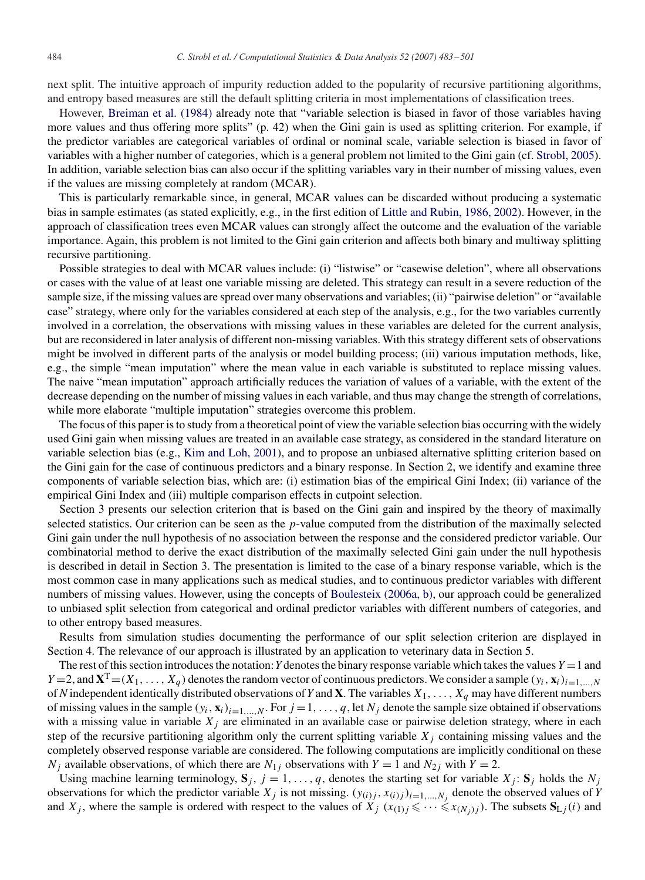next split. The intuitive approach of impurity reduction added to the popularity of recursive partitioning algorithms, and entropy based measures are still the default splitting criteria in most implementations of classification trees.

However, [Breiman et al. \(1984\)](#page-17-0) already note that "variable selection is biased in favor of those variables having more values and thus offering more splits" (p. 42) when the Gini gain is used as splitting criterion. For example, if the predictor variables are categorical variables of ordinal or nominal scale, variable selection is biased in favor of variables with a higher number of categories, which is a general problem not limited to the Gini gain (cf. [Strobl, 2005\)](#page-18-0). In addition, variable selection bias can also occur if the splitting variables vary in their number of missing values, even if the values are missing completely at random (MCAR).

This is particularly remarkable since, in general, MCAR values can be discarded without producing a systematic bias in sample estimates (as stated explicitly, e.g., in the first edition of Little and Rubin, 1986, 2002). However, in the approach of classification trees even MCAR values can strongly affect the outcome and the evaluation of the variable importance. Again, this problem is not limited to the Gini gain criterion and affects both binary and multiway splitting recursive partitioning.

Possible strategies to deal with MCAR values include: (i) "listwise" or "casewise deletion", where all observations or cases with the value of at least one variable missing are deleted. This strategy can result in a severe reduction of the sample size, if the missing values are spread over many observations and variables; (ii) "pairwise deletion" or "available case" strategy, where only for the variables considered at each step of the analysis, e.g., for the two variables currently involved in a correlation, the observations with missing values in these variables are deleted for the current analysis, but are reconsidered in later analysis of different non-missing variables. With this strategy different sets of observations might be involved in different parts of the analysis or model building process; (iii) various imputation methods, like, e.g., the simple "mean imputation" where the mean value in each variable is substituted to replace missing values. The naive "mean imputation" approach artificially reduces the variation of values of a variable, with the extent of the decrease depending on the number of missing values in each variable, and thus may change the strength of correlations, while more elaborate "multiple imputation" strategies overcome this problem.

The focus of this paper is to study from a theoretical point of view the variable selection bias occurring with the widely used Gini gain when missing values are treated in an available case strategy, as considered in the standard literature on variable selection bias (e.g., [Kim and Loh, 2001\)](#page-17-0), and to propose an unbiased alternative splitting criterion based on the Gini gain for the case of continuous predictors and a binary response. In Section 2, we identify and examine three components of variable selection bias, which are: (i) estimation bias of the empirical Gini Index; (ii) variance of the empirical Gini Index and (iii) multiple comparison effects in cutpoint selection.

Section 3 presents our selection criterion that is based on the Gini gain and inspired by the theory of maximally selected statistics. Our criterion can be seen as the p-value computed from the distribution of the maximally selected Gini gain under the null hypothesis of no association between the response and the considered predictor variable. Our combinatorial method to derive the exact distribution of the maximally selected Gini gain under the null hypothesis is described in detail in Section 3. The presentation is limited to the case of a binary response variable, which is the most common case in many applications such as medical studies, and to continuous predictor variables with different numbers of missing values. However, using the concepts of Boulesteix (2006a, b), our approach could be generalized to unbiased split selection from categorical and ordinal predictor variables with different numbers of categories, and to other entropy based measures.

Results from simulation studies documenting the performance of our split selection criterion are displayed in Section 4. The relevance of our approach is illustrated by an application to veterinary data in Section 5.

The rest of this section introduces the notation: *Y* denotes the binary response variable which takes the values  $Y = 1$  and  $Y = 2$ , and  $X^T = (X_1, \ldots, X_q)$  denotes the random vector of continuous predictors. We consider a sample  $(y_i, \mathbf{x}_i)_{i=1,\ldots,N}$ of *N* independent identically distributed observations of *Y* and **X**. The variables  $X_1, \ldots, X_q$  may have different numbers of missing values in the sample  $(y_i, \mathbf{x}_i)_{i=1,\dots,N}$ . For  $j = 1, \dots, q$ , let  $N_j$  denote the sample size obtained if observations with a missing value in variable  $X_j$  are eliminated in an available case or pairwise deletion strategy, where in each step of the recursive partitioning algorithm only the current splitting variable  $X_i$  containing missing values and the completely observed response variable are considered. The following computations are implicitly conditional on these  $N_i$  available observations, of which there are  $N_{1i}$  observations with  $Y = 1$  and  $N_{2i}$  with  $Y = 2$ .

Using machine learning terminology,  $\mathbf{S}_j$ ,  $j = 1, \ldots, q$ , denotes the starting set for variable  $X_j$ :  $\mathbf{S}_j$  holds the  $N_j$ observations for which the predictor variable  $X_j$  is not missing.  $(y_{(i)j}, x_{(i)j})_{i=1,\dots,N_j}$  denote the observed values of *Y* and  $X_j$ , where the sample is ordered with respect to the values of  $X_j$   $(x_{(1)j} \leq \cdots \leq x_{(N_j)j})$ . The subsets  $S_{L_j}(i)$  and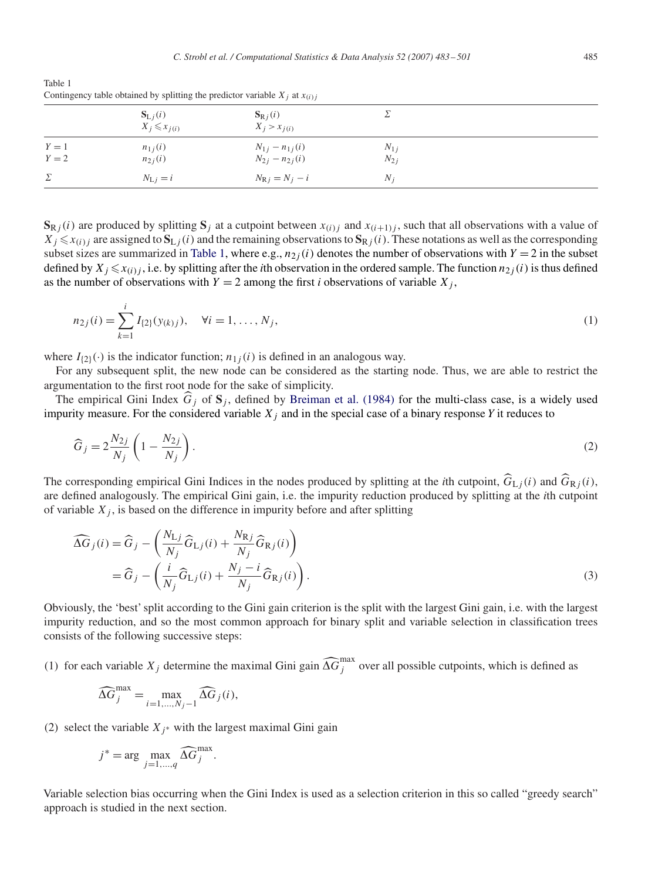<span id="page-2-0"></span>Table 1 Contingency table obtained by splitting the predictor variable  $X_i$  at  $x_{(i)}$ 

|                | $S_{Lj}(i)$<br>$X_j \leqslant x_{j(i)}$ | $S_{Rj}(i)$<br>$X_j > x_{j(i)}$              |                      |  |
|----------------|-----------------------------------------|----------------------------------------------|----------------------|--|
| $Y=1$<br>$Y=2$ | $n_{1j}(i)$<br>$n_{2j}(i)$              | $N_{1j} - n_{1j}(i)$<br>$N_{2j} - n_{2j}(i)$ | $N_{1j}$<br>$N_{2j}$ |  |
| Σ              | $N_{\rm L}$ $i = i$                     | $N_{\rm R}$ $i = N_i - i$                    | $N_i$                |  |
|                |                                         |                                              |                      |  |

 $\mathbf{S}_{\mathbf{R}}$  *i*(*i*) are produced by splitting  $\mathbf{S}_j$  at a cutpoint between  $x_{(i)}$  and  $x_{(i+1)}$ , such that all observations with a value of  $X_j \le x_{(i)j}$  are assigned to  $S_{L_j}(i)$  and the remaining observations to  $S_{R_j}(i)$ . These notations as well as the corresponding subset sizes are summarized in Table 1, where e.g.,  $n_{2i}(i)$  denotes the number of observations with  $Y = 2$  in the subset defined by  $X_j \le x_{(i)j}$ , i.e. by splitting after the *i*th observation in the ordered sample. The function  $n_{2j}(i)$  is thus defined as the number of observations with  $Y = 2$  among the first *i* observations of variable  $X_j$ ,

$$
n_{2j}(i) = \sum_{k=1}^{i} I_{\{2\}}(y_{(k)j}), \quad \forall i = 1, \dots, N_j,
$$
\n(1)

where  $I_{(2)}(\cdot)$  is the indicator function;  $n_{1i}(i)$  is defined in an analogous way.

For any subsequent split, the new node can be considered as the starting node. Thus, we are able to restrict the argumentation to the first root node for the sake of simplicity.

The empirical Gini Index  $G_j$  of  $S_j$ , defined by [Breiman et al. \(1984\)](#page-17-0) for the multi-class case, is a widely used impurity measure. For the considered variable  $X_j$  and in the special case of a binary response  $Y$  it reduces to

$$
\widehat{G}_j = 2\frac{N_{2j}}{N_j} \left(1 - \frac{N_{2j}}{N_j}\right). \tag{2}
$$

The corresponding empirical Gini Indices in the nodes produced by splitting at the *i*th cutpoint,  $\widehat{G}_{Lj}(i)$  and  $\widehat{G}_{Rj}(i)$ , are defined analogously. The empirical Gini gain, i.e. the impurity reduction produced by splitting at the *i*th cutpoint of variable  $X_j$ , is based on the difference in impurity before and after splitting

$$
\widehat{\Delta G}_j(i) = \widehat{G}_j - \left(\frac{N_{\text{L}j}}{N_j}\widehat{G}_{\text{L}j}(i) + \frac{N_{\text{R}j}}{N_j}\widehat{G}_{\text{R}j}(i)\right)
$$
  
=  $\widehat{G}_j - \left(\frac{i}{N_j}\widehat{G}_{\text{L}j}(i) + \frac{N_j - i}{N_j}\widehat{G}_{\text{R}j}(i)\right).$  (3)

Obviously, the 'best' split according to the Gini gain criterion is the split with the largest Gini gain, i.e. with the largest impurity reduction, and so the most common approach for binary split and variable selection in classification trees consists of the following successive steps:

(1) for each variable  $X_j$  determine the maximal Gini gain  $\widehat{\Delta G}_j^{\max}$  over all possible cutpoints, which is defined as

$$
\widehat{\Delta G}_j^{\max} = \max_{i=1,\dots,N_j-1} \widehat{\Delta G}_j(i),
$$

(2) select the variable  $X_i^*$  with the largest maximal Gini gain

$$
j^* = \arg \max_{j=1,\dots,q} \widehat{\Delta G}_j^{\max}.
$$

Variable selection bias occurring when the Gini Index is used as a selection criterion in this so called "greedy search" approach is studied in the next section.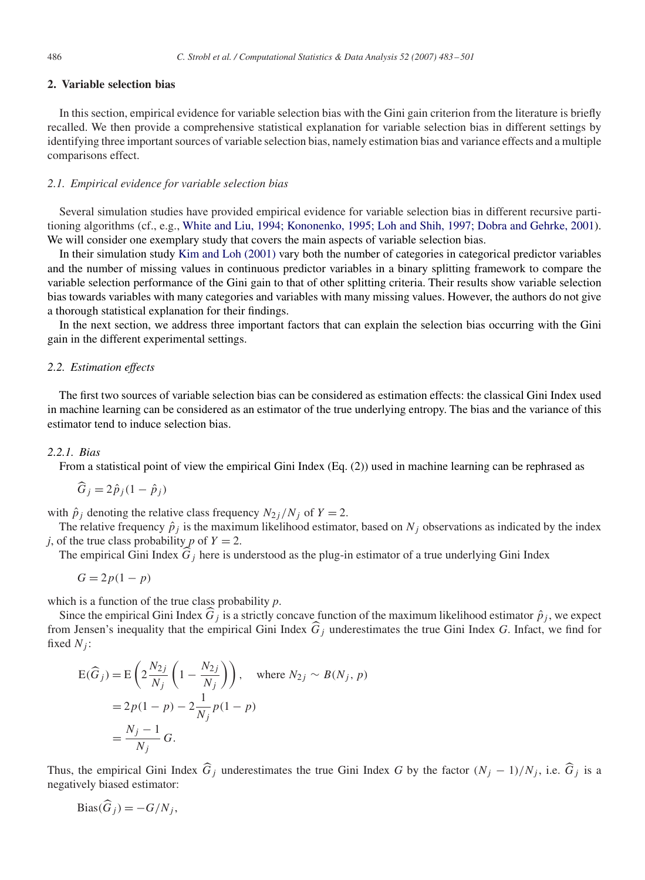# **2. Variable selection bias**

In this section, empirical evidence for variable selection bias with the Gini gain criterion from the literature is briefly recalled. We then provide a comprehensive statistical explanation for variable selection bias in different settings by identifying three important sources of variable selection bias, namely estimation bias and variance effects and a multiple comparisons effect.

## *2.1. Empirical evidence for variable selection bias*

Several simulation studies have provided empirical evidence for variable selection bias in different recursive partitioning algorithms (cf., e.g., White and Liu, 1994; Kononenko, 1995; Loh and Shih, 1997; Dobra and Gehrke, 2001). We will consider one exemplary study that covers the main aspects of variable selection bias.

In their simulation study [Kim and Loh \(2001\)](#page-17-0) vary both the number of categories in categorical predictor variables and the number of missing values in continuous predictor variables in a binary splitting framework to compare the variable selection performance of the Gini gain to that of other splitting criteria. Their results show variable selection bias towards variables with many categories and variables with many missing values. However, the authors do not give a thorough statistical explanation for their findings.

In the next section, we address three important factors that can explain the selection bias occurring with the Gini gain in the different experimental settings.

# *2.2. Estimation effects*

The first two sources of variable selection bias can be considered as estimation effects: the classical Gini Index used in machine learning can be considered as an estimator of the true underlying entropy. The bias and the variance of this estimator tend to induce selection bias.

## *2.2.1. Bias*

From a statistical point of view the empirical Gini Index (Eq. (2)) used in machine learning can be rephrased as

$$
\widehat{G}_j = 2\widehat{p}_j(1 - \widehat{p}_j)
$$

with  $\hat{p}_i$  denoting the relative class frequency  $N_{2j}/N_j$  of  $Y = 2$ .

The relative frequency  $\hat{p}_i$  is the maximum likelihood estimator, based on  $N_i$  observations as indicated by the index *j*, of the true class probability *p* of  $Y = 2$ .

The empirical Gini Index  $\widehat{G}_j$  here is understood as the plug-in estimator of a true underlying Gini Index

$$
G = 2p(1 - p)
$$

which is a function of the true class probability *p*.

Since the empirical Gini Index  $\hat{G}_j$  is a strictly concave function of the maximum likelihood estimator  $\hat{p}_j$ , we expect from Jensen's inequality that the empirical Gini Index  $\hat{G}_i$  underestimates the true Gini Index *G*. Infact, we find for fixed  $N_i$ :

$$
E(\widehat{G}_j) = E\left(2\frac{N_{2j}}{N_j}\left(1 - \frac{N_{2j}}{N_j}\right)\right), \text{ where } N_{2j} \sim B(N_j, p)
$$
  
=  $2p(1-p) - 2\frac{1}{N_j}p(1-p)$   
=  $\frac{N_j - 1}{N_j}G$ .

Thus, the empirical Gini Index  $\hat{G}_j$  underestimates the true Gini Index *G* by the factor  $(N_j - 1)/N_j$ , i.e.  $\hat{G}_j$  is a negatively biased estimator:

$$
\text{Bias}(\widehat{G}_j) = -G/N_j,
$$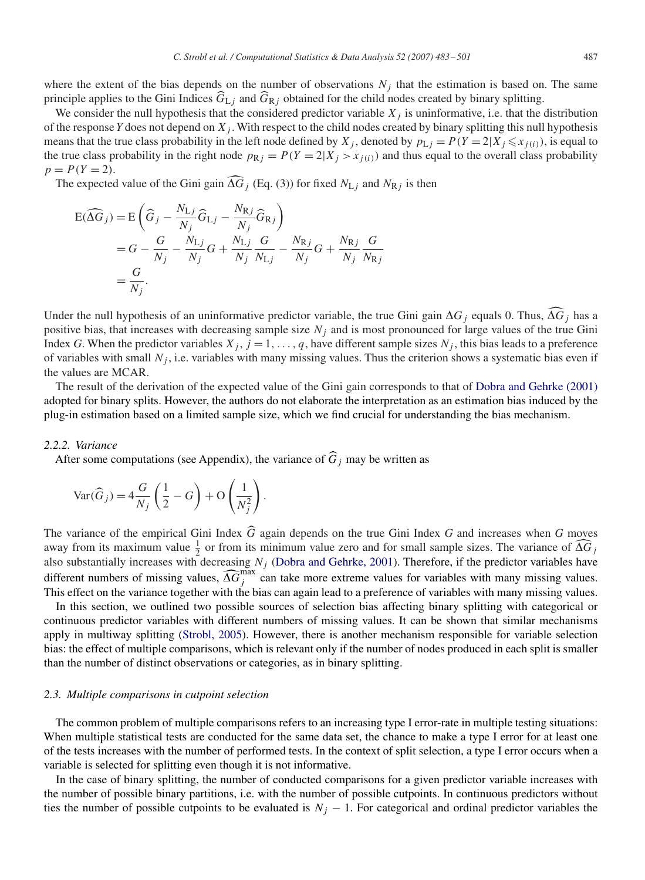where the extent of the bias depends on the number of observations  $N_j$  that the estimation is based on. The same principle applies to the Gini Indices  $\widehat{G}_{Lj}$  and  $\widehat{G}_{Rj}$  obtained for the child nodes created by binary splitting.

We consider the null hypothesis that the considered predictor variable  $X_j$  is uninformative, i.e. that the distribution of the response *Y* does not depend on  $X_j$ . With respect to the child nodes created by binary splitting this null hypothesis means that the true class probability in the left node defined by  $X_j$ , denoted by  $p_{Lj} = P(Y = 2 | X_j \leq x_{j(i)})$ , is equal to the true class probability in the right node  $p_{Rj} = P(Y = 2|X_j > x_{i(i)})$  and thus equal to the overall class probability  $p = P(Y = 2)$ .

The expected value of the Gini gain  $\widehat{\Delta G}_j$  (Eq. (3)) for fixed  $N_{\text{L}j}$  and  $N_{\text{R}j}$  is then

$$
E(\widehat{\Delta G}_j) = E\left(\widehat{G}_j - \frac{N_{\rm Lj}}{N_j}\widehat{G}_{\rm Lj} - \frac{N_{\rm Rj}}{N_j}\widehat{G}_{\rm Rj}\right)
$$
  
=  $G - \frac{G}{N_j} - \frac{N_{\rm Lj}}{N_j}G + \frac{N_{\rm Lj}}{N_j}\frac{G}{N_{\rm Lj}} - \frac{N_{\rm Rj}}{N_j}G + \frac{N_{\rm Rj}}{N_j}\frac{G}{N_{\rm Rj}}$   
=  $\frac{G}{N_j}$ .

Under the null hypothesis of an uninformative predictor variable, the true Gini gain  $\Delta G_j$  equals 0. Thus,  $\widehat{\Delta G}_j$  has a positive bias, that increases with decreasing sample size  $N_j$  and is most pronounced for large values of the true Gini Index *G*. When the predictor variables  $X_j$ ,  $j = 1, \ldots, q$ , have different sample sizes  $N_j$ , this bias leads to a preference of variables with small  $N_i$ , i.e. variables with many missing values. Thus the criterion shows a systematic bias even if the values are MCAR.

The result of the derivation of the expected value of the Gini gain corresponds to that of [Dobra and Gehrke \(2001\)](#page-17-0) adopted for binary splits. However, the authors do not elaborate the interpretation as an estimation bias induced by the plug-in estimation based on a limited sample size, which we find crucial for understanding the bias mechanism.

#### *2.2.2. Variance*

After some computations (see Appendix), the variance of  $\hat{G}_i$  may be written as

$$
\text{Var}(\widehat{G}_j) = 4\frac{G}{N_j} \left(\frac{1}{2} - G\right) + \mathcal{O}\left(\frac{1}{N_j^2}\right).
$$

The variance of the empirical Gini Index <sup>G</sup> again depends on the true Gini Index *<sup>G</sup>* and increases when *<sup>G</sup>* moves away from its maximum value  $\frac{1}{2}$  or from its minimum value zero and for small sample sizes. The variance of  $\widehat{\Delta G}_j$ also substantially increases with decreasing  $N_j$  [\(Dobra and Gehrke, 2001\)](#page-17-0). Therefore, if the predictor variables have different numbers of missing values,  $\widehat{\Delta G}^{\max}_{j}$  can take more extreme values for variables with many missing values. This effect on the variance together with the bias can again lead to a preference of variables with many missing values.

In this section, we outlined two possible sources of selection bias affecting binary splitting with categorical or continuous predictor variables with different numbers of missing values. It can be shown that similar mechanisms apply in multiway splitting [\(Strobl, 2005\)](#page-18-0). However, there is another mechanism responsible for variable selection bias: the effect of multiple comparisons, which is relevant only if the number of nodes produced in each split is smaller than the number of distinct observations or categories, as in binary splitting.

#### *2.3. Multiple comparisons in cutpoint selection*

The common problem of multiple comparisons refers to an increasing type I error-rate in multiple testing situations: When multiple statistical tests are conducted for the same data set, the chance to make a type I error for at least one of the tests increases with the number of performed tests. In the context of split selection, a type I error occurs when a variable is selected for splitting even though it is not informative.

In the case of binary splitting, the number of conducted comparisons for a given predictor variable increases with the number of possible binary partitions, i.e. with the number of possible cutpoints. In continuous predictors without ties the number of possible cutpoints to be evaluated is  $N_j - 1$ . For categorical and ordinal predictor variables the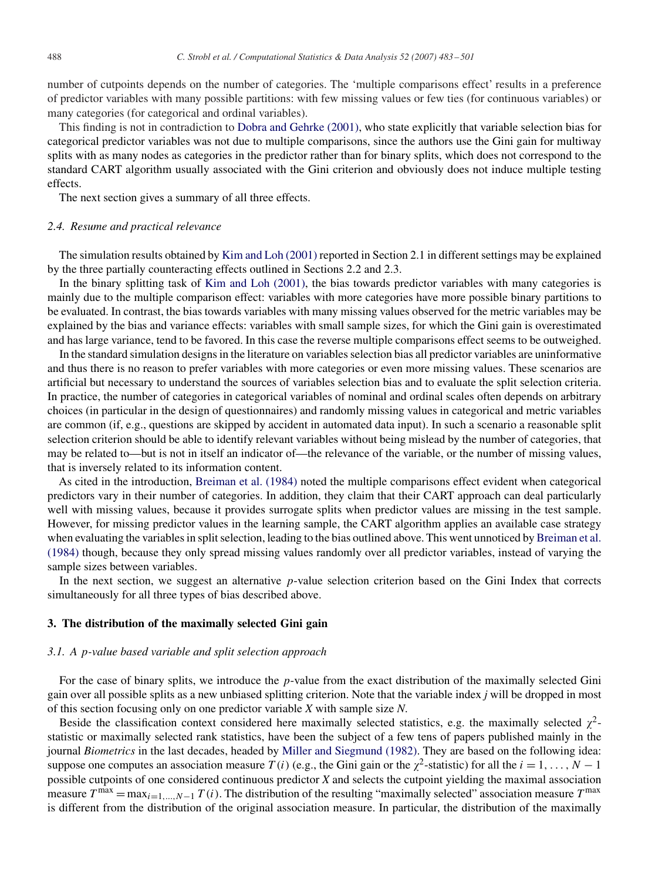number of cutpoints depends on the number of categories. The 'multiple comparisons effect' results in a preference of predictor variables with many possible partitions: with few missing values or few ties (for continuous variables) or many categories (for categorical and ordinal variables).

This finding is not in contradiction to [Dobra and Gehrke \(2001\),](#page-17-0) who state explicitly that variable selection bias for categorical predictor variables was not due to multiple comparisons, since the authors use the Gini gain for multiway splits with as many nodes as categories in the predictor rather than for binary splits, which does not correspond to the standard CART algorithm usually associated with the Gini criterion and obviously does not induce multiple testing effects.

The next section gives a summary of all three effects.

#### *2.4. Resume and practical relevance*

The simulation results obtained by [Kim and Loh \(2001\)](#page-17-0) reported in Section 2.1 in different settings may be explained by the three partially counteracting effects outlined in Sections 2.2 and 2.3.

In the binary splitting task of [Kim and Loh \(2001\),](#page-17-0) the bias towards predictor variables with many categories is mainly due to the multiple comparison effect: variables with more categories have more possible binary partitions to be evaluated. In contrast, the bias towards variables with many missing values observed for the metric variables may be explained by the bias and variance effects: variables with small sample sizes, for which the Gini gain is overestimated and has large variance, tend to be favored. In this case the reverse multiple comparisons effect seems to be outweighed.

In the standard simulation designs in the literature on variables selection bias all predictor variables are uninformative and thus there is no reason to prefer variables with more categories or even more missing values. These scenarios are artificial but necessary to understand the sources of variables selection bias and to evaluate the split selection criteria. In practice, the number of categories in categorical variables of nominal and ordinal scales often depends on arbitrary choices (in particular in the design of questionnaires) and randomly missing values in categorical and metric variables are common (if, e.g., questions are skipped by accident in automated data input). In such a scenario a reasonable split selection criterion should be able to identify relevant variables without being mislead by the number of categories, that may be related to—but is not in itself an indicator of—the relevance of the variable, or the number of missing values, that is inversely related to its information content.

As cited in the introduction, [Breiman et al. \(1984\)](#page-17-0) noted the multiple comparisons effect evident when categorical predictors vary in their number of categories. In addition, they claim that their CART approach can deal particularly well with missing values, because it provides surrogate splits when predictor values are missing in the test sample. However, for missing predictor values in the learning sample, the CART algorithm applies an available case strategy when evaluating the variables in split selection, leading to the bias outlined above. This went unnoticed by [Breiman et al.](#page-17-0) [\(1984\)](#page-17-0) though, because they only spread missing values randomly over all predictor variables, instead of varying the sample sizes between variables.

In the next section, we suggest an alternative *p*-value selection criterion based on the Gini Index that corrects simultaneously for all three types of bias described above.

#### **3. The distribution of the maximally selected Gini gain**

#### *3.1. A* p*-value based variable and split selection approach*

For the case of binary splits, we introduce the *p*-value from the exact distribution of the maximally selected Gini gain over all possible splits as a new unbiased splitting criterion. Note that the variable index *j* will be dropped in most of this section focusing only on one predictor variable *X* with sample size *N*.

Beside the classification context considered here maximally selected statistics, e.g. the maximally selected  $\chi^2$ statistic or maximally selected rank statistics, have been the subject of a few tens of papers published mainly in the journal *Biometrics* in the last decades, headed by [Miller and Siegmund \(1982\).](#page-18-0) They are based on the following idea: suppose one computes an association measure  $T(i)$  (e.g., the Gini gain or the  $\chi^2$ -statistic) for all the  $i = 1, \ldots, N - 1$ possible cutpoints of one considered continuous predictor *X* and selects the cutpoint yielding the maximal association measure  $T^{max} = \max_{i=1,\dots,N-1} T(i)$ . The distribution of the resulting "maximally selected" association measure  $T^{max}$ is different from the distribution of the original association measure. In particular, the distribution of the maximally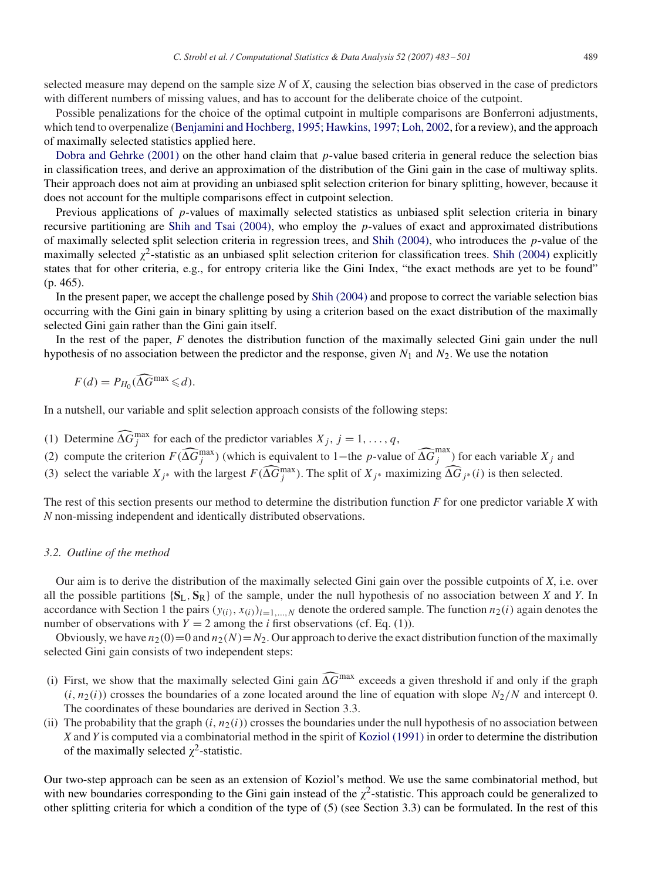selected measure may depend on the sample size *N* of *X*, causing the selection bias observed in the case of predictors with different numbers of missing values, and has to account for the deliberate choice of the cutpoint.

Possible penalizations for the choice of the optimal cutpoint in multiple comparisons are Bonferroni adjustments, which tend to overpenalize (Benjamini and Hochberg, 1995; Hawkins, 1997; Loh, 2002, for a review), and the approach of maximally selected statistics applied here.

[Dobra and Gehrke \(2001\)](#page-17-0) on the other hand claim that *p*-value based criteria in general reduce the selection bias in classification trees, and derive an approximation of the distribution of the Gini gain in the case of multiway splits. Their approach does not aim at providing an unbiased split selection criterion for binary splitting, however, because it does not account for the multiple comparisons effect in cutpoint selection.

Previous applications of p-values of maximally selected statistics as unbiased split selection criteria in binary recursive partitioning are [Shih and Tsai \(2004\),](#page-18-0) who employ the p-values of exact and approximated distributions of maximally selected split selection criteria in regression trees, and [Shih \(2004\),](#page-18-0) who introduces the  $p$ -value of the maximally selected  $\chi^2$ -statistic as an unbiased split selection criterion for classification trees. [Shih \(2004\)](#page-18-0) explicitly states that for other criteria, e.g., for entropy criteria like the Gini Index, "the exact methods are yet to be found" (p. 465).

In the present paper, we accept the challenge posed by [Shih \(2004\)](#page-18-0) and propose to correct the variable selection bias occurring with the Gini gain in binary splitting by using a criterion based on the exact distribution of the maximally selected Gini gain rather than the Gini gain itself.

In the rest of the paper, *F* denotes the distribution function of the maximally selected Gini gain under the null hypothesis of no association between the predictor and the response, given  $N_1$  and  $N_2$ . We use the notation

$$
F(d) = P_{H_0}(\widehat{\Delta G}^{\max} \leq d).
$$

In a nutshell, our variable and split selection approach consists of the following steps:

- (1) Determine  $\widehat{\Delta G}_j^{\max}$  for each of the predictor variables  $X_j$ ,  $j = 1, \ldots, q$ ,
- (2) compute the criterion  $F(\widehat{\Delta G}_j^{\max})$  (which is equivalent to 1–the p-value of  $\widehat{\Delta G}_j^{\max}$ ) for each variable  $X_j$  and
- (3) select the variable  $X_{j^*}$  with the largest  $F(\widehat{\Delta G}_j^{\max})$ . The split of  $X_{j^*}$  maximizing  $\widehat{\Delta G}_{j^*}(i)$  is then selected.

The rest of this section presents our method to determine the distribution function *F* for one predictor variable *X* with *N* non-missing independent and identically distributed observations.

## *3.2. Outline of the method*

Our aim is to derive the distribution of the maximally selected Gini gain over the possible cutpoints of *X*, i.e. over all the possible partitions {**S**L, **S**R} of the sample, under the null hypothesis of no association between *X* and *Y*. In accordance with Section 1 the pairs  $(y_{(i)}, x_{(i)})_{i=1,\dots,N}$  denote the ordered sample. The function  $n_2(i)$  again denotes the number of observations with  $Y = 2$  among the *i* first observations (cf. Eq. (1)).

Obviously, we have  $n_2(0)=0$  and  $n_2(N) = N_2$ . Our approach to derive the exact distribution function of the maximally selected Gini gain consists of two independent steps:

- (i) First, we show that the maximally selected Gini gain  $\widehat{\Delta G}^{\text{max}}$  exceeds a given threshold if and only if the graph  $(i, n_2(i))$  crosses the boundaries of a zone located around the line of equation with slope  $N_2/N$  and intercept 0. The coordinates of these boundaries are derived in Section 3.3.
- (ii) The probability that the graph  $(i, n_2(i))$  crosses the boundaries under the null hypothesis of no association between *X* and*Y* is computed via a combinatorial method in the spirit of [Koziol \(1991\)](#page-17-0) in order to determine the distribution of the maximally selected  $\chi^2$ -statistic.

Our two-step approach can be seen as an extension of Koziol's method. We use the same combinatorial method, but with new boundaries corresponding to the Gini gain instead of the  $\chi^2$ -statistic. This approach could be generalized to other splitting criteria for which a condition of the type of (5) (see Section 3.3) can be formulated. In the rest of this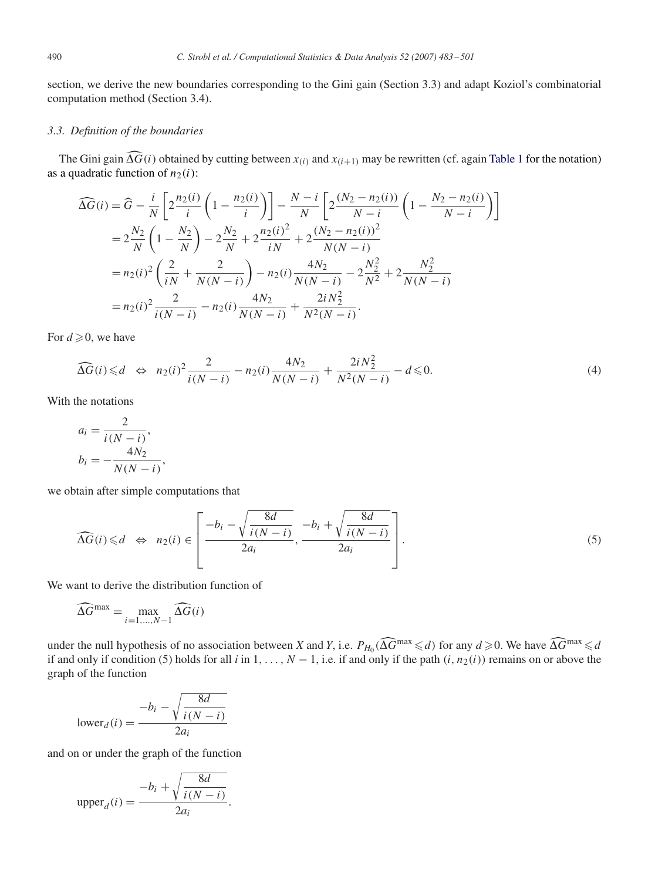section, we derive the new boundaries corresponding to the Gini gain (Section 3.3) and adapt Koziol's combinatorial computation method (Section 3.4).

# *3.3. Definition of the boundaries*

The Gini gain  $\widehat{\Delta G}(i)$  obtained by cutting between  $x_{(i)}$  and  $x_{(i+1)}$  may be rewritten (cf. again [Table 1](#page-2-0) for the notation) as a quadratic function of  $n_2(i)$ :

$$
\widehat{\Delta G}(i) = \widehat{G} - \frac{i}{N} \left[ 2 \frac{n_2(i)}{i} \left( 1 - \frac{n_2(i)}{i} \right) \right] - \frac{N - i}{N} \left[ 2 \frac{(N_2 - n_2(i))}{N - i} \left( 1 - \frac{N_2 - n_2(i)}{N - i} \right) \right]
$$
  
\n
$$
= 2 \frac{N_2}{N} \left( 1 - \frac{N_2}{N} \right) - 2 \frac{N_2}{N} + 2 \frac{n_2(i)^2}{iN} + 2 \frac{(N_2 - n_2(i))^2}{N(N - i)}
$$
  
\n
$$
= n_2(i)^2 \left( \frac{2}{iN} + \frac{2}{N(N - i)} \right) - n_2(i) \frac{4N_2}{N(N - i)} - 2 \frac{N_2^2}{N^2} + 2 \frac{N_2^2}{N(N - i)}
$$
  
\n
$$
= n_2(i)^2 \frac{2}{i(N - i)} - n_2(i) \frac{4N_2}{N(N - i)} + \frac{2iN_2^2}{N^2(N - i)}.
$$

For  $d \geqslant 0$ , we have

$$
\widehat{\Delta G}(i) \leq d \quad \Leftrightarrow \quad n_2(i)^2 \frac{2}{i(N-i)} - n_2(i) \frac{4N_2}{N(N-i)} + \frac{2iN_2^2}{N^2(N-i)} - d \leq 0. \tag{4}
$$

With the notations

$$
a_i = \frac{2}{i(N - i)},
$$
  
\n
$$
b_i = -\frac{4N_2}{N(N - i)},
$$

we obtain after simple computations that

$$
\widehat{\Delta G}(i) \leq d \quad \Leftrightarrow \quad n_2(i) \in \left[\frac{-b_i - \sqrt{\frac{8d}{i(N-i)}}}{2a_i}, \frac{-b_i + \sqrt{\frac{8d}{i(N-i)}}}{2a_i}\right].\tag{5}
$$

We want to derive the distribution function of

$$
\widehat{\Delta G}^{\max} = \max_{i=1,\dots,N-1} \widehat{\Delta G}(i)
$$

under the null hypothesis of no association between *X* and *Y*, i.e.  $P_{H_0}(\widehat{\Delta G}^{\max} \le d)$  for any  $d \ge 0$ . We have  $\widehat{\Delta G}^{\max} \le d$ if and only if condition (5) holds for all *i* in 1, ...,  $N-1$ , i.e. if and only if the path  $(i, n_2(i))$  remains on or above the graph of the function

$$
\text{lower}_d(i) = \frac{-b_i - \sqrt{\frac{8d}{i(N - i)}}}{2a_i}
$$

and on or under the graph of the function

$$
\text{upper}_d(i) = \frac{-b_i + \sqrt{\frac{8d}{i(N-i)}}}{2a_i}.
$$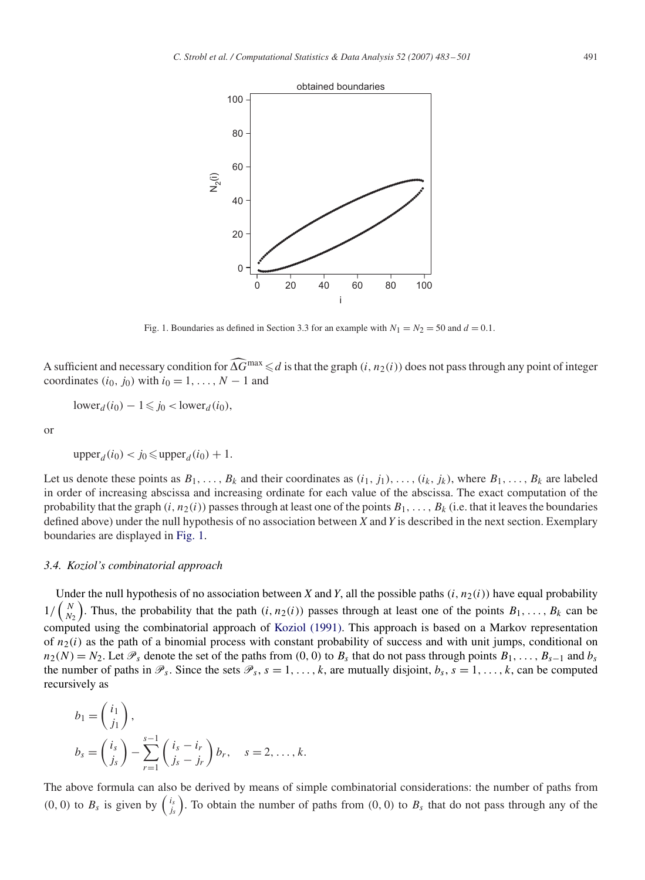<span id="page-8-0"></span>

Fig. 1. Boundaries as defined in Section 3.3 for an example with  $N_1 = N_2 = 50$  and  $d = 0.1$ .

A sufficient and necessary condition for  $\widehat{\Delta G}^{\max} \le d$  is that the graph  $(i, n_2(i))$  does not pass through any point of integer coordinates  $(i_0, j_0)$  with  $i_0 = 1, \ldots, N - 1$  and

 $lower<sub>d</sub>(i<sub>0</sub>) - 1 \leq j<sub>0</sub> < lower<sub>d</sub>(i<sub>0</sub>),$ 

or

$$
\text{upper}_d(i_0) < j_0 \leqslant \text{upper}_d(i_0) + 1.
$$

Let us denote these points as  $B_1, \ldots, B_k$  and their coordinates as  $(i_1, j_1), \ldots, (i_k, j_k)$ , where  $B_1, \ldots, B_k$  are labeled in order of increasing abscissa and increasing ordinate for each value of the abscissa. The exact computation of the probability that the graph  $(i, n_2(i))$  passes through at least one of the points  $B_1, \ldots, B_k$  (i.e. that it leaves the boundaries defined above) under the null hypothesis of no association between *X* and *Y* is described in the next section. Exemplary boundaries are displayed in Fig. 1.

### *3.4. Koziol's combinatorial approach*

Under the null hypothesis of no association between *X* and *Y*, all the possible paths  $(i, n_2(i))$  have equal probability  $1/\binom{N}{N}$  $N<sub>2</sub>$ ). Thus, the probability that the path  $(i, n_2(i))$  passes through at least one of the points  $B_1, \ldots, B_k$  can be computed using the combinatorial approach of [Koziol \(1991\).](#page-17-0) This approach is based on a Markov representation of  $n_2(i)$  as the path of a binomial process with constant probability of success and with unit jumps, conditional on  $n_2(N) = N_2$ . Let  $\mathcal{P}_s$  denote the set of the paths from (0, 0) to  $B_s$  that do not pass through points  $B_1, \ldots, B_{s-1}$  and  $b_s$ the number of paths in  $\mathcal{P}_s$ . Since the sets  $\mathcal{P}_s$ ,  $s = 1, \ldots, k$ , are mutually disjoint,  $b_s$ ,  $s = 1, \ldots, k$ , can be computed recursively as

$$
b_1 = \begin{pmatrix} i_1 \\ j_1 \end{pmatrix},
$$
  
\n
$$
b_s = \begin{pmatrix} i_s \\ j_s \end{pmatrix} - \sum_{r=1}^{s-1} \begin{pmatrix} i_s - i_r \\ j_s - j_r \end{pmatrix} b_r, \quad s = 2, \dots, k.
$$

The above formula can also be derived by means of simple combinatorial considerations: the number of paths from  $(0, 0)$  to  $B_s$  is given by  $\begin{pmatrix} i_s \\ i_s \end{pmatrix}$ . To obtain the number of paths from  $(0, 0)$  to  $B_s$  that do not pass through any of the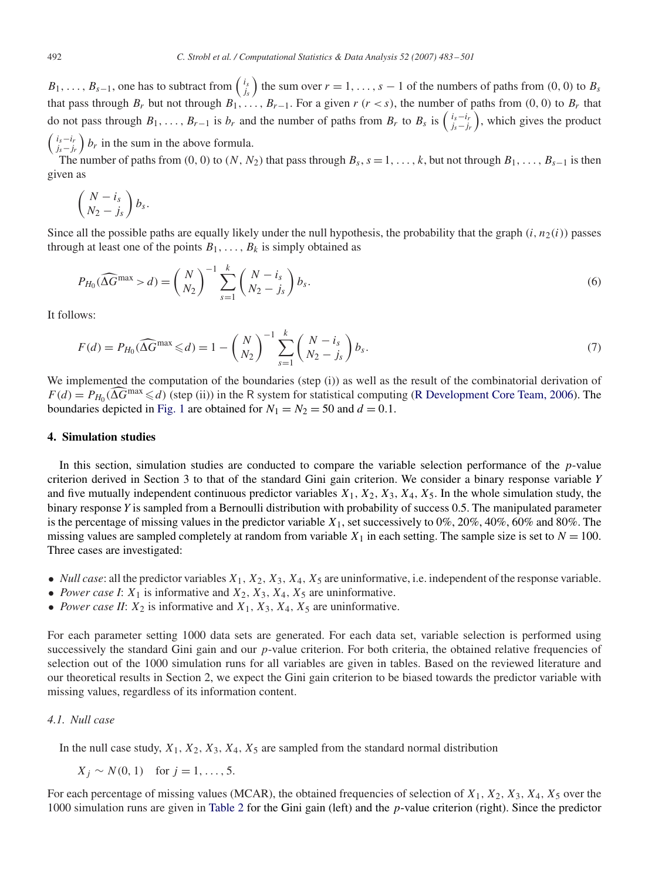$B_1, \ldots, B_{s-1}$ , one has to subtract from  $\begin{pmatrix} i_s \\ j_s \end{pmatrix}$  the sum over  $r = 1, \ldots, s-1$  of the numbers of paths from  $(0, 0)$  to  $B_s$ that pass through  $B_r$  but not through  $B_1, \ldots, B_{r-1}$ . For a given  $r$  ( $r < s$ ), the number of paths from (0, 0) to  $B_r$  that do not pass through  $B_1, \ldots, B_{r-1}$  is  $b_r$  and the number of paths from  $B_r$  to  $B_s$  is  $\left(\begin{matrix} i_s-i_r\\ j_s-j_r \end{matrix}\right)$ , which gives the product  $\begin{pmatrix} i_s - i_r \\ j_s - j_r \end{pmatrix}$  b<sub>r</sub> in the sum in the above formula.

The number of paths from (0, 0) to (N, N<sub>2</sub>) that pass through  $B_s$ ,  $s = 1, \ldots, k$ , but not through  $B_1, \ldots, B_{s-1}$  is then given as

$$
\left(\frac{N-i_s}{N_2-j_s}\right)b_s.
$$

Since all the possible paths are equally likely under the null hypothesis, the probability that the graph  $(i, n_2(i))$  passes through at least one of the points  $B_1, \ldots, B_k$  is simply obtained as

$$
P_{H_0}(\widehat{\Delta G}^{\max} > d) = \binom{N}{N_2}^{-1} \sum_{s=1}^k \binom{N - i_s}{N_2 - j_s} b_s.
$$
\n
$$
(6)
$$

It follows:

$$
F(d) = P_{H_0}(\widehat{\Delta G}^{\max} \leq d) = 1 - {N \choose N_2}^{-1} \sum_{s=1}^{k} {N - i_s \choose N_2 - j_s} b_s.
$$
 (7)

We implemented the computation of the boundaries (step (i)) as well as the result of the combinatorial derivation of  $F(d) = P_{H_0}(\widehat{\Lambda}\widehat{G}^{\max} \le d)$  (step (ii)) in the R system for statistical computing [\(R Development Core Team, 2006\)](#page-18-0). The boundaries depicted in [Fig. 1](#page-8-0) are obtained for  $N_1 = N_2 = 50$  and  $d = 0.1$ .

## **4. Simulation studies**

In this section, simulation studies are conducted to compare the variable selection performance of the p-value criterion derived in Section 3 to that of the standard Gini gain criterion. We consider a binary response variable *Y* and five mutually independent continuous predictor variables  $X_1, X_2, X_3, X_4, X_5$ . In the whole simulation study, the binary response *Y* is sampled from a Bernoulli distribution with probability of success 0.5. The manipulated parameter is the percentage of missing values in the predictor variable  $X_1$ , set successively to 0%, 20%, 40%, 60% and 80%. The missing values are sampled completely at random from variable  $X_1$  in each setting. The sample size is set to  $N = 100$ . Three cases are investigated:

- *Null case*: all the predictor variables  $X_1$ ,  $X_2$ ,  $X_3$ ,  $X_4$ ,  $X_5$  are uninformative, i.e. independent of the response variable.
- *Power case I*:  $X_1$  is informative and  $X_2$ ,  $X_3$ ,  $X_4$ ,  $X_5$  are uninformative.
- *Power case II:*  $X_2$  is informative and  $X_1$ ,  $X_3$ ,  $X_4$ ,  $X_5$  are uninformative.

For each parameter setting 1000 data sets are generated. For each data set, variable selection is performed using successively the standard Gini gain and our  $p$ -value criterion. For both criteria, the obtained relative frequencies of selection out of the 1000 simulation runs for all variables are given in tables. Based on the reviewed literature and our theoretical results in Section 2, we expect the Gini gain criterion to be biased towards the predictor variable with missing values, regardless of its information content.

# *4.1. Null case*

In the null case study,  $X_1, X_2, X_3, X_4, X_5$  are sampled from the standard normal distribution

$$
X_j \sim N(0, 1)
$$
 for  $j = 1, ..., 5$ .

For each percentage of missing values (MCAR), the obtained frequencies of selection of  $X_1, X_2, X_3, X_4, X_5$  over the 1000 simulation runs are given in [Table 2](#page-10-0) for the Gini gain (left) and the p-value criterion (right). Since the predictor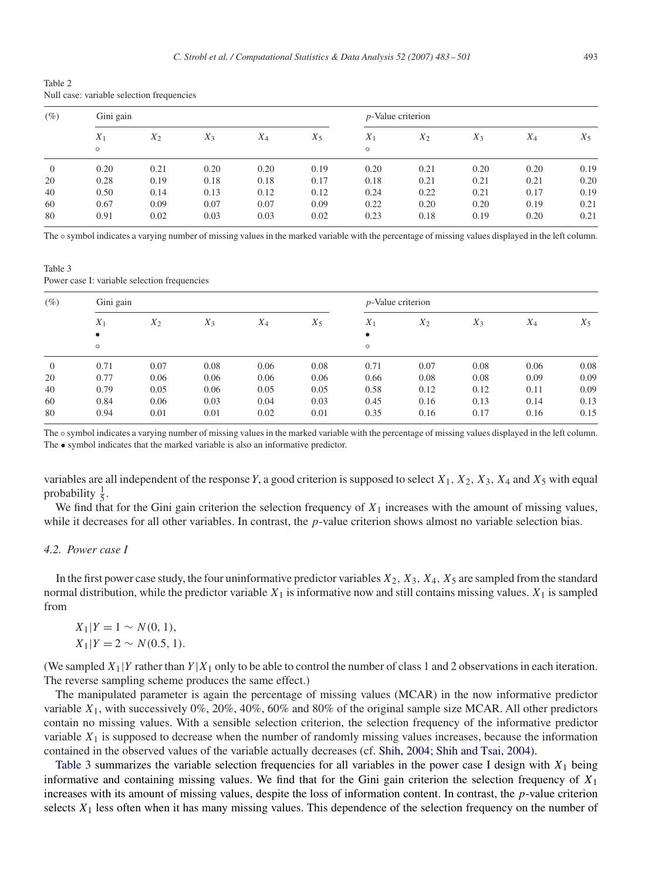<span id="page-10-0"></span>Table 2 Null case: variable selection frequencies

| $(\%)$         | Gini gain        |       |       |       | $p$ -Value criterion |                  |       |       |       |       |
|----------------|------------------|-------|-------|-------|----------------------|------------------|-------|-------|-------|-------|
|                | $X_1$<br>$\circ$ | $X_2$ | $X_3$ | $X_4$ | $X_5$                | $X_1$<br>$\circ$ | $X_2$ | $X_3$ | $X_4$ | $X_5$ |
| $\overline{0}$ | 0.20             | 0.21  | 0.20  | 0.20  | 0.19                 | 0.20             | 0.21  | 0.20  | 0.20  | 0.19  |
| 20             | 0.28             | 0.19  | 0.18  | 0.18  | 0.17                 | 0.18             | 0.21  | 0.21  | 0.21  | 0.20  |
| 40             | 0.50             | 0.14  | 0.13  | 0.12  | 0.12                 | 0.24             | 0.22  | 0.21  | 0.17  | 0.19  |
| 60             | 0.67             | 0.09  | 0.07  | 0.07  | 0.09                 | 0.22             | 0.20  | 0.20  | 0.19  | 0.21  |
| 80             | 0.91             | 0.02  | 0.03  | 0.03  | 0.02                 | 0.23             | 0.18  | 0.19  | 0.20  | 0.21  |

The  $\circ$  symbol indicates a varying number of missing values in the marked variable with the percentage of missing values displayed in the left column.

Table 3 Power case I: variable selection frequencies

| $(\%)$   |         | Gini gain |       |       |       | $p$ -Value criterion |       |       |       |       |
|----------|---------|-----------|-------|-------|-------|----------------------|-------|-------|-------|-------|
|          | $X_1$   | $X_2$     | $X_3$ | $X_4$ | $X_5$ | $X_1$                | $X_2$ | $X_3$ | $X_4$ | $X_5$ |
|          |         |           |       |       |       | $\bullet$            |       |       |       |       |
|          | $\circ$ |           |       |       |       | $\circ$              |       |       |       |       |
| $\theta$ | 0.71    | 0.07      | 0.08  | 0.06  | 0.08  | 0.71                 | 0.07  | 0.08  | 0.06  | 0.08  |
| 20       | 0.77    | 0.06      | 0.06  | 0.06  | 0.06  | 0.66                 | 0.08  | 0.08  | 0.09  | 0.09  |
| 40       | 0.79    | 0.05      | 0.06  | 0.05  | 0.05  | 0.58                 | 0.12  | 0.12  | 0.11  | 0.09  |
| 60       | 0.84    | 0.06      | 0.03  | 0.04  | 0.03  | 0.45                 | 0.16  | 0.13  | 0.14  | 0.13  |
| 80       | 0.94    | 0.01      | 0.01  | 0.02  | 0.01  | 0.35                 | 0.16  | 0.17  | 0.16  | 0.15  |

The  $\circ$  symbol indicates a varying number of missing values in the marked variable with the percentage of missing values displayed in the left column. The • symbol indicates that the marked variable is also an informative predictor.

variables are all independent of the response Y, a good criterion is supposed to select  $X_1, X_2, X_3, X_4$  and  $X_5$  with equal probability  $\frac{1}{5}$ .

We find that for the Gini gain criterion the selection frequency of  $X_1$  increases with the amount of missing values, while it decreases for all other variables. In contrast, the *p*-value criterion shows almost no variable selection bias.

# *4.2. Power case I*

In the first power case study, the four uninformative predictor variables  $X_2$ ,  $X_3$ ,  $X_4$ ,  $X_5$  are sampled from the standard normal distribution, while the predictor variable  $X_1$  is informative now and still contains missing values.  $X_1$  is sampled from

$$
X_1|Y = 1 \sim N(0, 1),
$$
  
\n
$$
X_1|Y = 2 \sim N(0.5, 1).
$$

(We sampled  $X_1|Y$  rather than  $Y|X_1$  only to be able to control the number of class 1 and 2 observations in each iteration. The reverse sampling scheme produces the same effect.)

The manipulated parameter is again the percentage of missing values (MCAR) in the now informative predictor variable  $X_1$ , with successively 0%, 20%, 40%, 60% and 80% of the original sample size MCAR. All other predictors contain no missing values. With a sensible selection criterion, the selection frequency of the informative predictor variable  $X_1$  is supposed to decrease when the number of randomly missing values increases, because the information contained in the observed values of the variable actually decreases (cf. Shih, 2004; Shih and Tsai, 2004).

Table 3 summarizes the variable selection frequencies for all variables in the power case I design with  $X_1$  being informative and containing missing values. We find that for the Gini gain criterion the selection frequency of  $X_1$ increases with its amount of missing values, despite the loss of information content. In contrast, the p-value criterion selects  $X_1$  less often when it has many missing values. This dependence of the selection frequency on the number of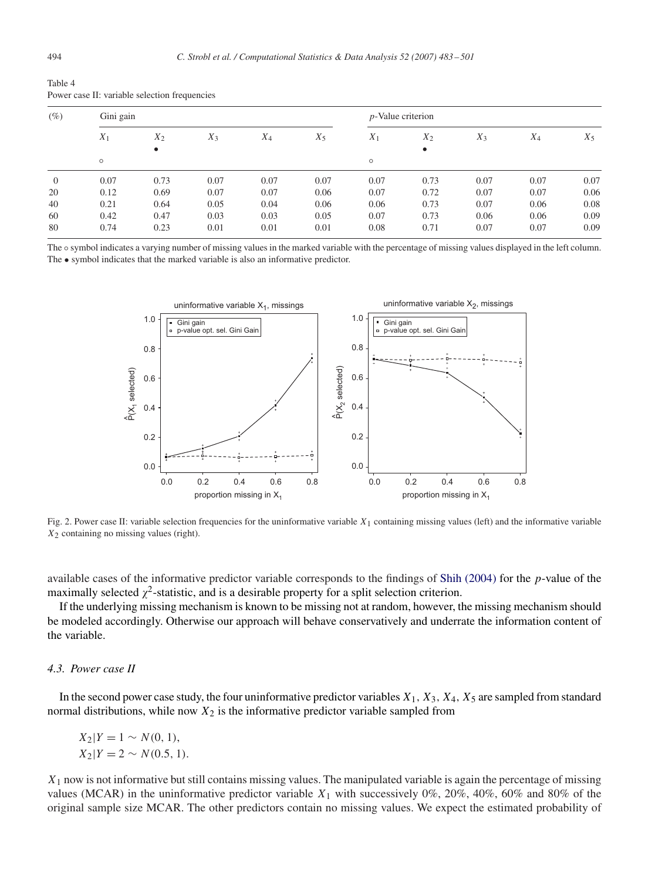| $(\%)$         | Gini gain |       |       |       | $p$ -Value criterion |         |           |       |       |       |
|----------------|-----------|-------|-------|-------|----------------------|---------|-----------|-------|-------|-------|
|                | $X_1$     | $X_2$ | $X_3$ | $X_4$ | $X_5$                | $X_1$   | $X_2$     | $X_3$ | $X_4$ | $X_5$ |
|                |           | ٠     |       |       |                      |         | $\bullet$ |       |       |       |
|                | $\circ$   |       |       |       |                      | $\circ$ |           |       |       |       |
| $\overline{0}$ | 0.07      | 0.73  | 0.07  | 0.07  | 0.07                 | 0.07    | 0.73      | 0.07  | 0.07  | 0.07  |
| 20             | 0.12      | 0.69  | 0.07  | 0.07  | 0.06                 | 0.07    | 0.72      | 0.07  | 0.07  | 0.06  |
| 40             | 0.21      | 0.64  | 0.05  | 0.04  | 0.06                 | 0.06    | 0.73      | 0.07  | 0.06  | 0.08  |
| 60             | 0.42      | 0.47  | 0.03  | 0.03  | 0.05                 | 0.07    | 0.73      | 0.06  | 0.06  | 0.09  |
| 80             | 0.74      | 0.23  | 0.01  | 0.01  | 0.01                 | 0.08    | 0.71      | 0.07  | 0.07  | 0.09  |

<span id="page-11-0"></span>Table 4 Power case II: variable selection frequencies

The  $\circ$  symbol indicates a varying number of missing values in the marked variable with the percentage of missing values displayed in the left column. The • symbol indicates that the marked variable is also an informative predictor.



Fig. 2. Power case II: variable selection frequencies for the uninformative variable  $X_1$  containing missing values (left) and the informative variable  $X<sub>2</sub>$  containing no missing values (right).

available cases of the informative predictor variable corresponds to the findings of [Shih \(2004\)](#page-18-0) for the p-value of the maximally selected  $\chi^2$ -statistic, and is a desirable property for a split selection criterion.

If the underlying missing mechanism is known to be missing not at random, however, the missing mechanism should be modeled accordingly. Otherwise our approach will behave conservatively and underrate the information content of the variable.

## *4.3. Power case II*

In the second power case study, the four uninformative predictor variables  $X_1, X_3, X_4, X_5$  are sampled from standard normal distributions, while now  $X_2$  is the informative predictor variable sampled from

 $X_2|Y=1 \sim N(0, 1),$  $X_2|Y = 2 \sim N(0.5, 1).$ 

 $X_1$  now is not informative but still contains missing values. The manipulated variable is again the percentage of missing values (MCAR) in the uninformative predictor variable  $X_1$  with successively 0%, 20%, 40%, 60% and 80% of the original sample size MCAR. The other predictors contain no missing values. We expect the estimated probability of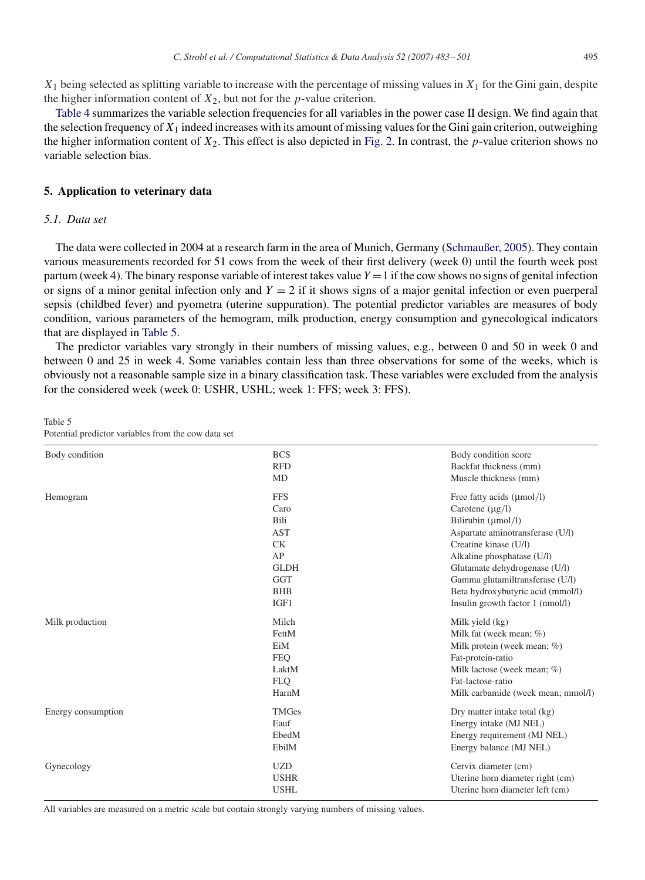$X_1$  being selected as splitting variable to increase with the percentage of missing values in  $X_1$  for the Gini gain, despite the higher information content of  $X_2$ , but not for the *p*-value criterion.

[Table 4](#page-11-0) summarizes the variable selection frequencies for all variables in the power case II design. We find again that the selection frequency of  $X_1$  indeed increases with its amount of missing values for the Gini gain criterion, outweighing the higher information content of  $X_2$ . This effect is also depicted in [Fig. 2.](#page-11-0) In contrast, the p-value criterion shows no variable selection bias.

# **5. Application to veterinary data**

# *5.1. Data set*

The data were collected in 2004 at a research farm in the area of Munich, Germany [\(Schmaußer, 2005\)](#page-18-0). They contain various measurements recorded for 51 cows from the week of their first delivery (week 0) until the fourth week post partum (week 4). The binary response variable of interest takes value  $Y = 1$  if the cow shows no signs of genital infection or signs of a minor genital infection only and  $Y = 2$  if it shows signs of a major genital infection or even puerperal sepsis (childbed fever) and pyometra (uterine suppuration). The potential predictor variables are measures of body condition, various parameters of the hemogram, milk production, energy consumption and gynecological indicators that are displayed in Table 5.

The predictor variables vary strongly in their numbers of missing values, e.g., between 0 and 50 in week 0 and between 0 and 25 in week 4. Some variables contain less than three observations for some of the weeks, which is obviously not a reasonable sample size in a binary classification task. These variables were excluded from the analysis for the considered week (week 0: USHR, USHL; week 1: FFS; week 3: FFS).

Table 5

Potential predictor variables from the cow data set

| Body condition     | <b>BCS</b>   | Body condition score                  |
|--------------------|--------------|---------------------------------------|
|                    | <b>RFD</b>   | Backfat thickness (mm)                |
|                    | MD           | Muscle thickness (mm)                 |
| Hemogram           | <b>FFS</b>   | Free fatty acids $(\mu \text{mol/l})$ |
|                    | Caro         | Carotene $(\mu g/l)$                  |
|                    | Bili         | Bilirubin (µmol/l)                    |
|                    | <b>AST</b>   | Aspartate aminotransferase (U/l)      |
|                    | <b>CK</b>    | Creatine kinase (U/l)                 |
|                    | AP           | Alkaline phosphatase (U/l)            |
|                    | <b>GLDH</b>  | Glutamate dehydrogenase (U/l)         |
|                    | <b>GGT</b>   | Gamma glutamiltransferase (U/l)       |
|                    | <b>BHB</b>   | Beta hydroxybutyric acid (mmol/l)     |
|                    | IGF1         | Insulin growth factor 1 (nmol/l)      |
| Milk production    | Milch        | Milk yield (kg)                       |
|                    | FettM        | Milk fat (week mean; %)               |
|                    | EiM          | Milk protein (week mean; %)           |
|                    | <b>FEO</b>   | Fat-protein-ratio                     |
|                    | LaktM        | Milk lactose (week mean; %)           |
|                    | <b>FLO</b>   | Fat-lactose-ratio                     |
|                    | HarnM        | Milk carbamide (week mean; mmol/l)    |
| Energy consumption | <b>TMGes</b> | Dry matter intake total (kg)          |
|                    | Eauf         | Energy intake (MJ NEL)                |
|                    | EbedM        | Energy requirement (MJ NEL)           |
|                    | EbilM        | Energy balance (MJ NEL)               |
| Gynecology         | <b>UZD</b>   | Cervix diameter (cm)                  |
|                    | <b>USHR</b>  | Uterine horn diameter right (cm)      |
|                    | <b>USHL</b>  | Uterine horn diameter left (cm)       |

All variables are measured on a metric scale but contain strongly varying numbers of missing values.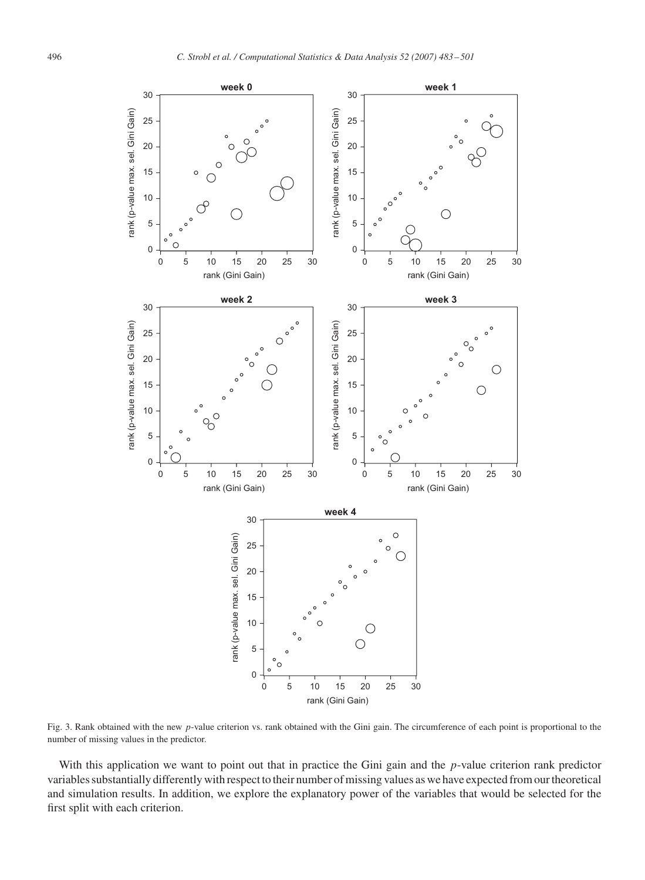<span id="page-13-0"></span>

Fig. 3. Rank obtained with the new p-value criterion vs. rank obtained with the Gini gain. The circumference of each point is proportional to the number of missing values in the predictor.

With this application we want to point out that in practice the Gini gain and the p-value criterion rank predictor variables substantially differently with respect to their number of missing values as we have expected from our theoretical and simulation results. In addition, we explore the explanatory power of the variables that would be selected for the first split with each criterion.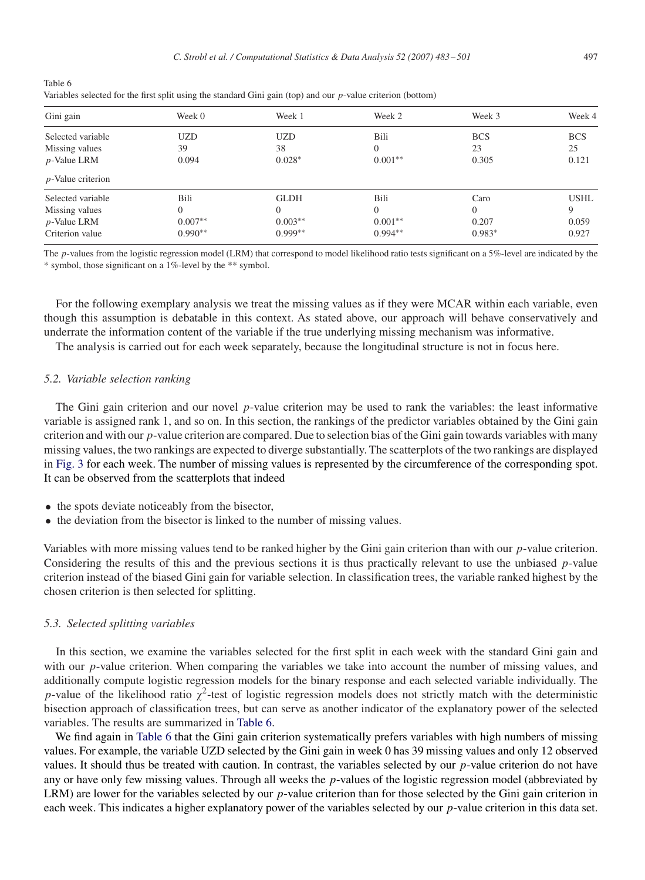| rabie o<br>Variables selected for the first split using the standard Gini gain (top) and our $p$ -value criterion (bottom) |        |        |        |  |  |  |  |  |
|----------------------------------------------------------------------------------------------------------------------------|--------|--------|--------|--|--|--|--|--|
| Gini gain                                                                                                                  | Week 0 | Week 1 | Week 2 |  |  |  |  |  |

| Gini gain            | Week 0       | Week 1      | Week 2    | Week 3     | Week 4      |
|----------------------|--------------|-------------|-----------|------------|-------------|
| Selected variable    | <b>UZD</b>   | <b>UZD</b>  | Bili      | <b>BCS</b> | <b>BCS</b>  |
| Missing values       | 39           | 38          | $\Omega$  | 23         | 25          |
| $p$ -Value LRM       | 0.094        | $0.028*$    | $0.001**$ | 0.305      | 0.121       |
| $p$ -Value criterion |              |             |           |            |             |
| Selected variable    | Bili         | <b>GLDH</b> | Bili      | Caro       | <b>USHL</b> |
| Missing values       | $\mathbf{0}$ | $\Omega$    | $\Omega$  | $\Omega$   | 9           |
| $p$ -Value LRM       | $0.007**$    | $0.003**$   | $0.001**$ | 0.207      | 0.059       |
| Criterion value      | $0.990**$    | $0.999**$   | $0.994**$ | $0.983*$   | 0.927       |

The p-values from the logistic regression model (LRM) that correspond to model likelihood ratio tests significant on a 5%-level are indicated by the \* symbol, those significant on a 1%-level by the \*\* symbol.

For the following exemplary analysis we treat the missing values as if they were MCAR within each variable, even though this assumption is debatable in this context. As stated above, our approach will behave conservatively and underrate the information content of the variable if the true underlying missing mechanism was informative.

The analysis is carried out for each week separately, because the longitudinal structure is not in focus here.

#### *5.2. Variable selection ranking*

 $T = 1.1 - 6$ 

The Gini gain criterion and our novel p-value criterion may be used to rank the variables: the least informative variable is assigned rank 1, and so on. In this section, the rankings of the predictor variables obtained by the Gini gain criterion and with our  $p$ -value criterion are compared. Due to selection bias of the Gini gain towards variables with many missing values, the two rankings are expected to diverge substantially. The scatterplots of the two rankings are displayed in [Fig. 3](#page-13-0) for each week. The number of missing values is represented by the circumference of the corresponding spot. It can be observed from the scatterplots that indeed

- the spots deviate noticeably from the bisector,
- the deviation from the bisector is linked to the number of missing values.

Variables with more missing values tend to be ranked higher by the Gini gain criterion than with our p-value criterion. Considering the results of this and the previous sections it is thus practically relevant to use the unbiased  $p$ -value criterion instead of the biased Gini gain for variable selection. In classification trees, the variable ranked highest by the chosen criterion is then selected for splitting.

## *5.3. Selected splitting variables*

In this section, we examine the variables selected for the first split in each week with the standard Gini gain and with our *p*-value criterion. When comparing the variables we take into account the number of missing values, and additionally compute logistic regression models for the binary response and each selected variable individually. The p-value of the likelihood ratio  $\gamma^2$ -test of logistic regression models does not strictly match with the deterministic bisection approach of classification trees, but can serve as another indicator of the explanatory power of the selected variables. The results are summarized in Table 6.

We find again in Table 6 that the Gini gain criterion systematically prefers variables with high numbers of missing values. For example, the variable UZD selected by the Gini gain in week 0 has 39 missing values and only 12 observed values. It should thus be treated with caution. In contrast, the variables selected by our p-value criterion do not have any or have only few missing values. Through all weeks the  $p$ -values of the logistic regression model (abbreviated by LRM) are lower for the variables selected by our  $p$ -value criterion than for those selected by the Gini gain criterion in each week. This indicates a higher explanatory power of the variables selected by our p-value criterion in this data set.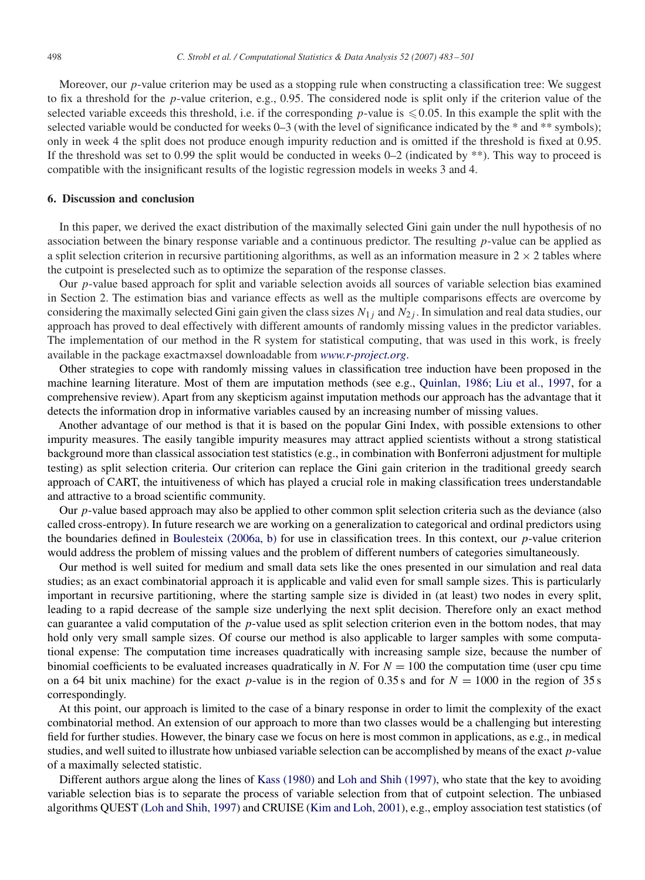Moreover, our p-value criterion may be used as a stopping rule when constructing a classification tree: We suggest to fix a threshold for the p-value criterion, e.g., 0.95. The considered node is split only if the criterion value of the selected variable exceeds this threshold, i.e. if the corresponding p-value is  $\leq 0.05$ . In this example the split with the selected variable would be conducted for weeks 0–3 (with the level of significance indicated by the \* and \*\* symbols); only in week 4 the split does not produce enough impurity reduction and is omitted if the threshold is fixed at 0.95. If the threshold was set to 0.99 the split would be conducted in weeks  $0-2$  (indicated by \*\*). This way to proceed is compatible with the insignificant results of the logistic regression models in weeks 3 and 4.

## **6. Discussion and conclusion**

In this paper, we derived the exact distribution of the maximally selected Gini gain under the null hypothesis of no association between the binary response variable and a continuous predictor. The resulting p-value can be applied as a split selection criterion in recursive partitioning algorithms, as well as an information measure in  $2 \times 2$  tables where the cutpoint is preselected such as to optimize the separation of the response classes.

Our p-value based approach for split and variable selection avoids all sources of variable selection bias examined in Section 2. The estimation bias and variance effects as well as the multiple comparisons effects are overcome by considering the maximally selected Gini gain given the class sizes  $N_{1i}$  and  $N_{2i}$ . In simulation and real data studies, our approach has proved to deal effectively with different amounts of randomly missing values in the predictor variables. The implementation of our method in the R system for statistical computing, that was used in this work, is freely available in the package exactmaxsel downloadable from *[www.r-project.org](http://www.r-project.org)*.

Other strategies to cope with randomly missing values in classification tree induction have been proposed in the machine learning literature. Most of them are imputation methods (see e.g., Quinlan, 1986; Liu et al., 1997, for a comprehensive review). Apart from any skepticism against imputation methods our approach has the advantage that it detects the information drop in informative variables caused by an increasing number of missing values.

Another advantage of our method is that it is based on the popular Gini Index, with possible extensions to other impurity measures. The easily tangible impurity measures may attract applied scientists without a strong statistical background more than classical association test statistics (e.g., in combination with Bonferroni adjustment for multiple testing) as split selection criteria. Our criterion can replace the Gini gain criterion in the traditional greedy search approach of CART, the intuitiveness of which has played a crucial role in making classification trees understandable and attractive to a broad scientific community.

Our p-value based approach may also be applied to other common split selection criteria such as the deviance (also called cross-entropy). In future research we are working on a generalization to categorical and ordinal predictors using the boundaries defined in Boulesteix (2006a, b) for use in classification trees. In this context, our  $p$ -value criterion would address the problem of missing values and the problem of different numbers of categories simultaneously.

Our method is well suited for medium and small data sets like the ones presented in our simulation and real data studies; as an exact combinatorial approach it is applicable and valid even for small sample sizes. This is particularly important in recursive partitioning, where the starting sample size is divided in (at least) two nodes in every split, leading to a rapid decrease of the sample size underlying the next split decision. Therefore only an exact method can guarantee a valid computation of the  $p$ -value used as split selection criterion even in the bottom nodes, that may hold only very small sample sizes. Of course our method is also applicable to larger samples with some computational expense: The computation time increases quadratically with increasing sample size, because the number of binomial coefficients to be evaluated increases quadratically in *N*. For  $N = 100$  the computation time (user cpu time on a 64 bit unix machine) for the exact p-value is in the region of 0.35 s and for  $N = 1000$  in the region of 35 s correspondingly.

At this point, our approach is limited to the case of a binary response in order to limit the complexity of the exact combinatorial method. An extension of our approach to more than two classes would be a challenging but interesting field for further studies. However, the binary case we focus on here is most common in applications, as e.g., in medical studies, and well suited to illustrate how unbiased variable selection can be accomplished by means of the exact  $p$ -value of a maximally selected statistic.

Different authors argue along the lines of [Kass \(1980\)](#page-17-0) and [Loh and Shih \(1997\),](#page-18-0) who state that the key to avoiding variable selection bias is to separate the process of variable selection from that of cutpoint selection. The unbiased algorithms QUEST [\(Loh and Shih, 1997\)](#page-18-0) and CRUISE [\(Kim and Loh, 2001\)](#page-17-0), e.g., employ association test statistics (of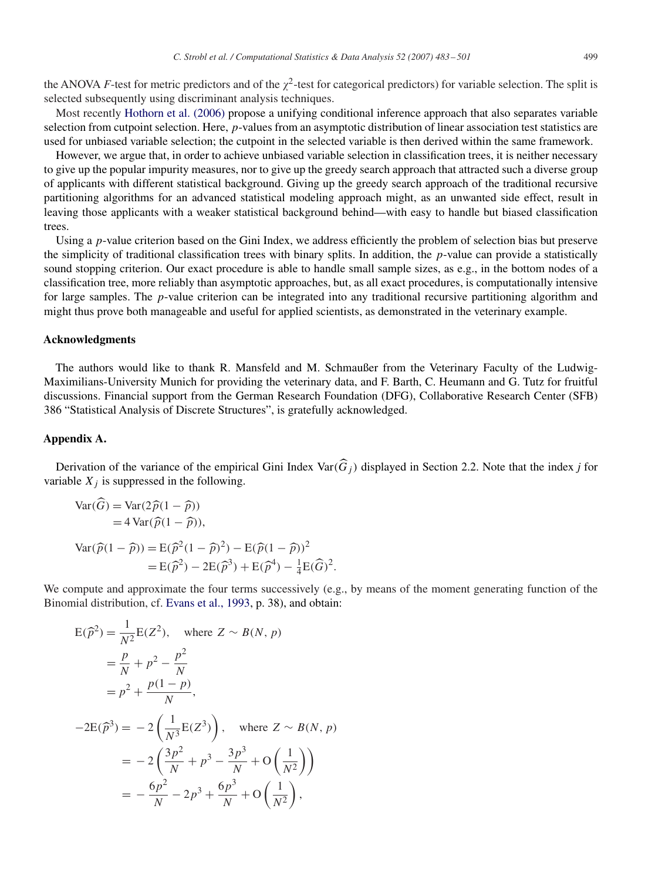the ANOVA *F*-test for metric predictors and of the  $\chi^2$ -test for categorical predictors) for variable selection. The split is selected subsequently using discriminant analysis techniques.

Most recently [Hothorn et al. \(2006\)](#page-17-0) propose a unifying conditional inference approach that also separates variable selection from cutpoint selection. Here, p-values from an asymptotic distribution of linear association test statistics are used for unbiased variable selection; the cutpoint in the selected variable is then derived within the same framework.

However, we argue that, in order to achieve unbiased variable selection in classification trees, it is neither necessary to give up the popular impurity measures, nor to give up the greedy search approach that attracted such a diverse group of applicants with different statistical background. Giving up the greedy search approach of the traditional recursive partitioning algorithms for an advanced statistical modeling approach might, as an unwanted side effect, result in leaving those applicants with a weaker statistical background behind—with easy to handle but biased classification trees.

Using a p-value criterion based on the Gini Index, we address efficiently the problem of selection bias but preserve the simplicity of traditional classification trees with binary splits. In addition, the p-value can provide a statistically sound stopping criterion. Our exact procedure is able to handle small sample sizes, as e.g., in the bottom nodes of a classification tree, more reliably than asymptotic approaches, but, as all exact procedures, is computationally intensive for large samples. The p-value criterion can be integrated into any traditional recursive partitioning algorithm and might thus prove both manageable and useful for applied scientists, as demonstrated in the veterinary example.

#### **Acknowledgments**

The authors would like to thank R. Mansfeld and M. Schmaußer from the Veterinary Faculty of the Ludwig-Maximilians-University Munich for providing the veterinary data, and F. Barth, C. Heumann and G. Tutz for fruitful discussions. Financial support from the German Research Foundation (DFG), Collaborative Research Center (SFB) 386 "Statistical Analysis of Discrete Structures", is gratefully acknowledged.

# **Appendix A.**

Derivation of the variance of the empirical Gini Index Var( $\hat{G}_i$ ) displayed in Section 2.2. Note that the index *j* for variable  $X_i$  is suppressed in the following.

$$
\begin{aligned} \text{Var}(\widehat{G}) &= \text{Var}(2\widehat{p}(1-\widehat{p})) \\ &= 4\text{Var}(\widehat{p}(1-\widehat{p})), \\ \text{Var}(\widehat{p}(1-\widehat{p})) &= \text{E}(\widehat{p}^2(1-\widehat{p})^2) - \text{E}(\widehat{p}(1-\widehat{p}))^2 \\ &= \text{E}(\widehat{p}^2) - 2\text{E}(\widehat{p}^3) + \text{E}(\widehat{p}^4) - \frac{1}{4}\text{E}(\widehat{G})^2. \end{aligned}
$$

We compute and approximate the four terms successively (e.g., by means of the moment generating function of the Binomial distribution, cf. [Evans et al., 1993,](#page-17-0) p. 38), and obtain:

$$
E(\hat{p}^2) = \frac{1}{N^2} E(Z^2), \text{ where } Z \sim B(N, p)
$$
  
=  $\frac{p}{N} + p^2 - \frac{p^2}{N}$   
=  $p^2 + \frac{p(1-p)}{N},$   

$$
-2E(\hat{p}^3) = -2\left(\frac{1}{N^3}E(Z^3)\right), \text{ where } Z \sim B(N, p)
$$
  
=  $-2\left(\frac{3p^2}{N} + p^3 - \frac{3p^3}{N} + O\left(\frac{1}{N^2}\right)\right)$   
=  $-\frac{6p^2}{N} - 2p^3 + \frac{6p^3}{N} + O\left(\frac{1}{N^2}\right),$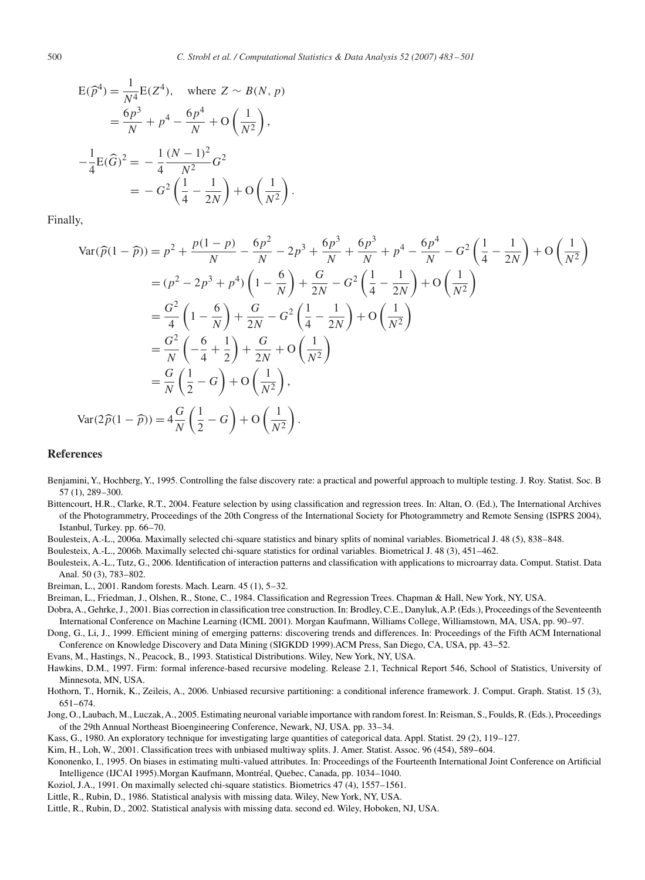<span id="page-17-0"></span>
$$
E(\hat{p}^4) = \frac{1}{N^4} E(Z^4), \text{ where } Z \sim B(N, p)
$$
  
=  $\frac{6p^3}{N} + p^4 - \frac{6p^4}{N} + O\left(\frac{1}{N^2}\right),$   
 $-\frac{1}{4}E(\hat{G})^2 = -\frac{1}{4}\frac{(N-1)^2}{N^2}G^2$   
=  $-G^2\left(\frac{1}{4} - \frac{1}{2N}\right) + O\left(\frac{1}{N^2}\right).$ 

Finally,

$$
\begin{split}\n\text{Var}(\widehat{p}(1-\widehat{p})) &= p^2 + \frac{p(1-p)}{N} - \frac{6p^2}{N} - 2p^3 + \frac{6p^3}{N} + \frac{6p^3}{N} + p^4 - \frac{6p^4}{N} - G^2 \left(\frac{1}{4} - \frac{1}{2N}\right) + O\left(\frac{1}{N^2}\right) \\
&= (p^2 - 2p^3 + p^4) \left(1 - \frac{6}{N}\right) + \frac{G}{2N} - G^2 \left(\frac{1}{4} - \frac{1}{2N}\right) + O\left(\frac{1}{N^2}\right) \\
&= \frac{G^2}{4} \left(1 - \frac{6}{N}\right) + \frac{G}{2N} - G^2 \left(\frac{1}{4} - \frac{1}{2N}\right) + O\left(\frac{1}{N^2}\right) \\
&= \frac{G^2}{N} \left(-\frac{6}{4} + \frac{1}{2}\right) + \frac{G}{2N} + O\left(\frac{1}{N^2}\right) \\
&= \frac{G}{N} \left(\frac{1}{2} - G\right) + O\left(\frac{1}{N^2}\right), \\
\text{Var}(2\widehat{p}(1-\widehat{p})) &= 4\frac{G}{N} \left(\frac{1}{2} - G\right) + O\left(\frac{1}{N^2}\right).\n\end{split}
$$

#### **References**

- Benjamini, Y., Hochberg, Y., 1995. Controlling the false discovery rate: a practical and powerful approach to multiple testing. J. Roy. Statist. Soc. B 57 (1), 289–300.
- Bittencourt, H.R., Clarke, R.T., 2004. Feature selection by using classification and regression trees. In: Altan, O. (Ed.), The International Archives of the Photogrammetry, Proceedings of the 20th Congress of the International Society for Photogrammetry and Remote Sensing (ISPRS 2004), Istanbul, Turkey. pp. 66–70.
- Boulesteix, A.-L., 2006a. Maximally selected chi-square statistics and binary splits of nominal variables. Biometrical J. 48 (5), 838–848.
- Boulesteix, A.-L., 2006b. Maximally selected chi-square statistics for ordinal variables. Biometrical J. 48 (3), 451–462.
- Boulesteix, A.-L., Tutz, G., 2006. Identification of interaction patterns and classification with applications to microarray data. Comput. Statist. Data Anal. 50 (3), 783–802.

Breiman, L., 2001. Random forests. Mach. Learn. 45 (1), 5–32.

Breiman, L., Friedman, J., Olshen, R., Stone, C., 1984. Classification and Regression Trees. Chapman & Hall, New York, NY, USA.

- Dobra, A., Gehrke, J., 2001. Bias correction in classification tree construction. In: Brodley, C.E., Danyluk, A.P. (Eds.), Proceedings of the Seventeenth International Conference on Machine Learning (ICML 2001). Morgan Kaufmann, Williams College, Williamstown, MA, USA, pp. 90–97.
- Dong, G., Li, J., 1999. Efficient mining of emerging patterns: discovering trends and differences. In: Proceedings of the Fifth ACM International Conference on Knowledge Discovery and Data Mining (SIGKDD 1999).ACM Press, San Diego, CA, USA, pp. 43–52.
- Evans, M., Hastings, N., Peacock, B., 1993. Statistical Distributions. Wiley, New York, NY, USA.
- Hawkins, D.M., 1997. Firm: formal inference-based recursive modeling. Release 2.1, Technical Report 546, School of Statistics, University of Minnesota, MN, USA.
- Hothorn, T., Hornik, K., Zeileis, A., 2006. Unbiased recursive partitioning: a conditional inference framework. J. Comput. Graph. Statist. 15 (3), 651–674.
- Jong, O., Laubach, M., Luczak,A., 2005. Estimating neuronal variable importance with random forest. In: Reisman, S., Foulds, R. (Eds.), Proceedings of the 29th Annual Northeast Bioengineering Conference, Newark, NJ, USA. pp. 33–34.
- Kass, G., 1980. An exploratory technique for investigating large quantities of categorical data. Appl. Statist. 29 (2), 119–127.
- Kim, H., Loh, W., 2001. Classification trees with unbiased multiway splits. J. Amer. Statist. Assoc. 96 (454), 589–604.
- Kononenko, I., 1995. On biases in estimating multi-valued attributes. In: Proceedings of the Fourteenth International Joint Conference on Artificial Intelligence (IJCAI 1995).Morgan Kaufmann, Montréal, Quebec, Canada, pp. 1034–1040.
- Koziol, J.A., 1991. On maximally selected chi-square statistics. Biometrics 47 (4), 1557–1561.
- Little, R., Rubin, D., 1986. Statistical analysis with missing data. Wiley, New York, NY, USA.
- Little, R., Rubin, D., 2002. Statistical analysis with missing data. second ed. Wiley, Hoboken, NJ, USA.